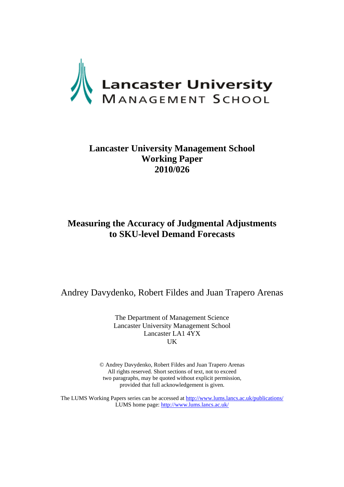

# **Lancaster University Management School Working Paper 2010/026**

# **Measuring the Accuracy of Judgmental Adjustments to SKU-level Demand Forecasts**

Andrey Davydenko, Robert Fildes and Juan Trapero Arenas

The Department of Management Science Lancaster University Management School Lancaster LA1 4YX UK

© Andrey Davydenko, Robert Fildes and Juan Trapero Arenas All rights reserved. Short sections of text, not to exceed two paragraphs, may be quoted without explicit permission, provided that full acknowledgement is given.

The LUMS Working Papers series can be accessed at http://www.lums.lancs.ac.uk/publications/ LUMS home page: http://www.lums.lancs.ac.uk/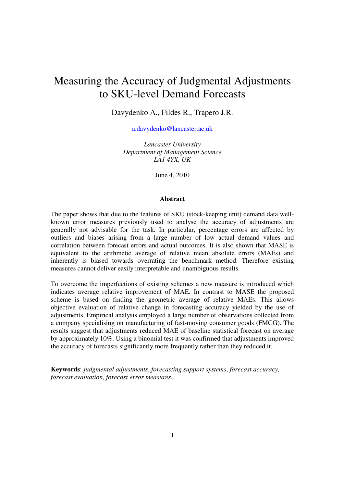# Measuring the Accuracy of Judgmental Adjustments to SKU-level Demand Forecasts

Davydenko A., Fildes R., Trapero J.R.

a.davydenko@lancaster.ac.uk

*Lancaster University Department of Management Science LA1 4YX, UK* 

June 4, 2010

#### **Abstract**

The paper shows that due to the features of SKU (stock-keeping unit) demand data wellknown error measures previously used to analyse the accuracy of adjustments are generally not advisable for the task. In particular, percentage errors are affected by outliers and biases arising from a large number of low actual demand values and correlation between forecast errors and actual outcomes. It is also shown that MASE is equivalent to the arithmetic average of relative mean absolute errors (MAEs) and inherently is biased towards overrating the benchmark method. Therefore existing measures cannot deliver easily interpretable and unambiguous results.

To overcome the imperfections of existing schemes a new measure is introduced which indicates average relative improvement of MAE. In contrast to MASE the proposed scheme is based on finding the geometric average of relative MAEs. This allows objective evaluation of relative change in forecasting accuracy yielded by the use of adjustments. Empirical analysis employed a large number of observations collected from a company specialising on manufacturing of fast-moving consumer goods (FMCG). The results suggest that adjustments reduced MAE of baseline statistical forecast on average by approximately 10%. Using a binomial test it was confirmed that adjustments improved the accuracy of forecasts significantly more frequently rather than they reduced it.

**Keywords**: *judgmental adjustments*, *forecasting support systems*, *forecast accuracy, forecast evaluation, forecast error measures*.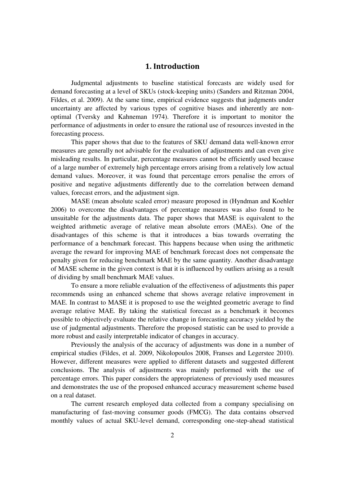# 1. Introduction

Judgmental adjustments to baseline statistical forecasts are widely used for demand forecasting at a level of SKUs (stock-keeping units) (Sanders and Ritzman 2004, Fildes, et al. 2009). At the same time, empirical evidence suggests that judgments under uncertainty are affected by various types of cognitive biases and inherently are nonoptimal (Tversky and Kahneman 1974). Therefore it is important to monitor the performance of adjustments in order to ensure the rational use of resources invested in the forecasting process.

This paper shows that due to the features of SKU demand data well-known error measures are generally not advisable for the evaluation of adjustments and can even give misleading results. In particular, percentage measures cannot be efficiently used because of a large number of extremely high percentage errors arising from a relatively low actual demand values. Moreover, it was found that percentage errors penalise the errors of positive and negative adjustments differently due to the correlation between demand values, forecast errors, and the adjustment sign.

MASE (mean absolute scaled error) measure proposed in (Hyndman and Koehler 2006) to overcome the disadvantages of percentage measures was also found to be unsuitable for the adjustments data. The paper shows that MASE is equivalent to the weighted arithmetic average of relative mean absolute errors (MAEs). One of the disadvantages of this scheme is that it introduces a bias towards overrating the performance of a benchmark forecast. This happens because when using the arithmetic average the reward for improving MAE of benchmark forecast does not compensate the penalty given for reducing benchmark MAE by the same quantity. Another disadvantage of MASE scheme in the given context is that it is influenced by outliers arising as a result of dividing by small benchmark MAE values.

To ensure a more reliable evaluation of the effectiveness of adjustments this paper recommends using an enhanced scheme that shows average relative improvement in MAE. In contrast to MASE it is proposed to use the weighted geometric average to find average relative MAE. By taking the statistical forecast as a benchmark it becomes possible to objectively evaluate the relative change in forecasting accuracy yielded by the use of judgmental adjustments. Therefore the proposed statistic can be used to provide a more robust and easily interpretable indicator of changes in accuracy.

Previously the analysis of the accuracy of adjustments was done in a number of empirical studies (Fildes, et al. 2009, Nikolopoulos 2008, Franses and Legerstee 2010). However, different measures were applied to different datasets and suggested different conclusions. The analysis of adjustments was mainly performed with the use of percentage errors. This paper considers the appropriateness of previously used measures and demonstrates the use of the proposed enhanced accuracy measurement scheme based on a real dataset.

The current research employed data collected from a company specialising on manufacturing of fast-moving consumer goods (FMCG). The data contains observed monthly values of actual SKU-level demand, corresponding one-step-ahead statistical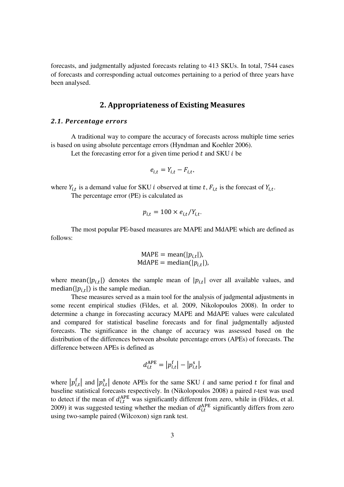forecasts, and judgmentally adjusted forecasts relating to 413 SKUs. In total, 7544 cases of forecasts and corresponding actual outcomes pertaining to a period of three years have been analysed.

## 2. Appropriateness of Existing Measures

#### 2.1. Percentage errors

A traditional way to compare the accuracy of forecasts across multiple time series is based on using absolute percentage errors (Hyndman and Koehler 2006).

Let the forecasting error for a given time period  $t$  and SKU  $i$  be

$$
e_{i,t}=Y_{i,t}-F_{i,t},
$$

where  $Y_{i,t}$  is a demand value for SKU *i* observed at time t,  $F_{i,t}$  is the forecast of  $Y_{i,t}$ .

The percentage error (PE) is calculated as

$$
p_{i,t} = 100 \times e_{i,t}/Y_{i,t}.
$$

The most popular PE-based measures are MAPE and MdAPE which are defined as follows:

$$
MAPE = mean(|p_{i,t}|),
$$
  

$$
MdAPE = median(|p_{i,t}|),
$$

where mean( $|p_{i,t}|$ ) denotes the sample mean of  $|p_{i,t}|$  over all available values, and median( $|p_{i,t}|$ ) is the sample median.

These measures served as a main tool for the analysis of judgmental adjustments in some recent empirical studies (Fildes, et al. 2009, Nikolopoulos 2008). In order to determine a change in forecasting accuracy MAPE and MdAPE values were calculated and compared for statistical baseline forecasts and for final judgmentally adjusted forecasts. The significance in the change of accuracy was assessed based on the distribution of the differences between absolute percentage errors (APEs) of forecasts. The difference between APEs is defined as

$$
d_{i,t}^{\text{APE}} = |p_{i,t}^{\text{f}}| - |p_{i,t}^{\text{s}}|,
$$

where  $|p_{i,t}^f|$  and  $|p_{i,t}^s|$  denote APEs for the same SKU i and same period t for final and baseline statistical forecasts respectively. In (Nikolopoulos 2008) a paired *t*-test was used to detect if the mean of  $d_{i,t}^{\text{APE}}$  was significantly different from zero, while in (Fildes, et al. 2009) it was suggested testing whether the median of  $d_{i,t}^{\text{APE}}$  significantly differs from zero using two-sample paired (Wilcoxon) sign rank test.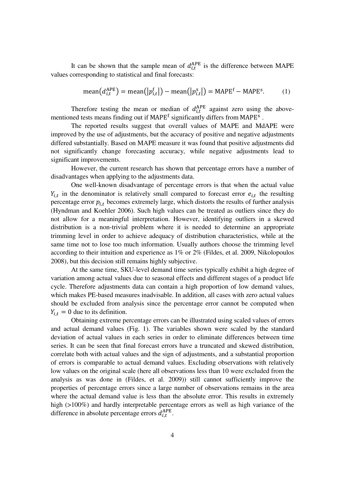It can be shown that the sample mean of  $d_{i,t}^{\text{APE}}$  is the difference between MAPE values corresponding to statistical and final forecasts:

mean
$$
(d_{i,t}^{APE})
$$
 = mean $(|p_{i,t}^f|)$  - mean $(|p_{i,t}^s|)$  = MAPE<sup>f</sup> - MAPE<sup>s</sup>. (1)

Therefore testing the mean or median of  $d_{i,t}^{\text{APE}}$  against zero using the abovementioned tests means finding out if MAPE<sup>f</sup> significantly differs from MAPE<sup>s</sup>.

The reported results suggest that overall values of MAPE and MdAPE were improved by the use of adjustments, but the accuracy of positive and negative adjustments differed substantially. Based on MAPE measure it was found that positive adjustments did not significantly change forecasting accuracy, while negative adjustments lead to significant improvements.

However, the current research has shown that percentage errors have a number of disadvantages when applying to the adjustments data.

One well-known disadvantage of percentage errors is that when the actual value  $Y_{i,t}$  in the denominator is relatively small compared to forecast error  $e_{i,t}$  the resulting percentage error  $p_{i,t}$  becomes extremely large, which distorts the results of further analysis (Hyndman and Koehler 2006). Such high values can be treated as outliers since they do not allow for a meaningful interpretation. However, identifying outliers in a skewed distribution is a non-trivial problem where it is needed to determine an appropriate trimming level in order to achieve adequacy of distribution characteristics, while at the same time not to lose too much information. Usually authors choose the trimming level according to their intuition and experience as 1% or 2% (Fildes, et al. 2009, Nikolopoulos 2008), but this decision still remains highly subjective.

At the same time, SKU-level demand time series typically exhibit a high degree of variation among actual values due to seasonal effects and different stages of a product life cycle. Therefore adjustments data can contain a high proportion of low demand values, which makes PE-based measures inadvisable. In addition, all cases with zero actual values should be excluded from analysis since the percentage error cannot be computed when  $Y_{i,t} = 0$  due to its definition.

Obtaining extreme percentage errors can be illustrated using scaled values of errors and actual demand values (Fig. 1). The variables shown were scaled by the standard deviation of actual values in each series in order to eliminate differences between time series. It can be seen that final forecast errors have a truncated and skewed distribution, correlate both with actual values and the sign of adjustments, and a substantial proportion of errors is comparable to actual demand values. Excluding observations with relatively low values on the original scale (here all observations less than 10 were excluded from the analysis as was done in (Fildes, et al. 2009)) still cannot sufficiently improve the properties of percentage errors since a large number of observations remains in the area where the actual demand value is less than the absolute error. This results in extremely high (>100%) and hardly interpretable percentage errors as well as high variance of the difference in absolute percentage errors  $d_{i,t}^{\text{APE}}$ .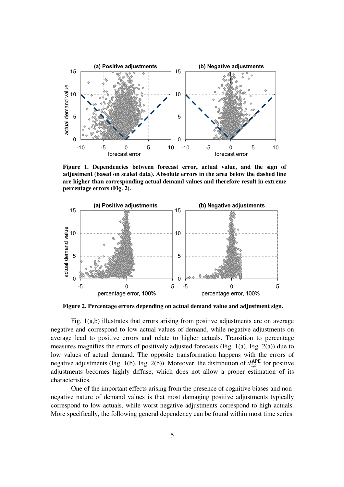

**Figure 1. Dependencies between forecast error, actual value, and the sign of adjustment (based on scaled data). Absolute errors in the area below the dashed line are higher than corresponding actual demand values and therefore result in extreme percentage errors (Fig. 2).** 



**Figure 2. Percentage errors depending on actual demand value and adjustment sign.** 

Fig. 1(a,b) illustrates that errors arising from positive adjustments are on average negative and correspond to low actual values of demand, while negative adjustments on average lead to positive errors and relate to higher actuals. Transition to percentage measures magnifies the errors of positively adjusted forecasts (Fig. 1(a), Fig. 2(a)) due to low values of actual demand. The opposite transformation happens with the errors of negative adjustments (Fig. 1(b), Fig. 2(b)). Moreover, the distribution of  $d_{i,t}^{APE}$  for positive adjustments becomes highly diffuse, which does not allow a proper estimation of its characteristics.

One of the important effects arising from the presence of cognitive biases and nonnegative nature of demand values is that most damaging positive adjustments typically correspond to low actuals, while worst negative adjustments correspond to high actuals. More specifically, the following general dependency can be found within most time series.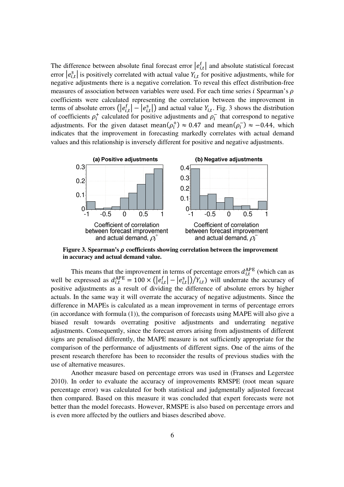The difference between absolute final forecast error  $|e_{i,t}^{\dagger}|$  and absolute statistical forecast error  $|e_{i,t}^s|$  is positively correlated with actual value  $Y_{i,t}$  for positive adjustments, while for negative adjustments there is a negative correlation. To reveal this effect distribution-free measures of association between variables were used. For each time series  $i$  Spearman's  $\rho$ coefficients were calculated representing the correlation between the improvement in terms of absolute errors  $\left( |e_{i,t}^{f}| - |e_{i,t}^{s}| \right)$  and actual value  $Y_{i,t}$ . Fig. 3 shows the distribution of coefficients  $\rho_i^+$  calculated for positive adjustments and  $\rho_i^-$  that correspond to negative adjustments. For the given dataset mean $(\rho_i^+) \approx 0.47$  and mean $(\rho_i^-) \approx -0.44$ , which indicates that the improvement in forecasting markedly correlates with actual demand values and this relationship is inversely different for positive and negative adjustments.



Figure 3. Spearman's  $\rho$  coefficients showing correlation between the improvement **in accuracy and actual demand value.** 

This means that the improvement in terms of percentage errors  $d_{i,t}^{\text{APE}}$  (which can as well be expressed as  $d_{i,t}^{\text{APE}} = 100 \times (|e_{i,t}^{\text{f}}| - |e_{i,t}^{\text{s}}|)/Y_{i,t}$  will underrate the accuracy of positive adjustments as a result of dividing the difference of absolute errors by higher actuals. In the same way it will overrate the accuracy of negative adjustments. Since the difference in MAPEs is calculated as a mean improvement in terms of percentage errors (in accordance with formula (1)), the comparison of forecasts using MAPE will also give a biased result towards overrating positive adjustments and underrating negative adjustments. Consequently, since the forecast errors arising from adjustments of different signs are penalised differently, the MAPE measure is not sufficiently appropriate for the comparison of the performance of adjustments of different signs. One of the aims of the present research therefore has been to reconsider the results of previous studies with the use of alternative measures.

Another measure based on percentage errors was used in (Franses and Legerstee 2010). In order to evaluate the accuracy of improvements RMSPE (root mean square percentage error) was calculated for both statistical and judgmentally adjusted forecast then compared. Based on this measure it was concluded that expert forecasts were not better than the model forecasts. However, RMSPE is also based on percentage errors and is even more affected by the outliers and biases described above.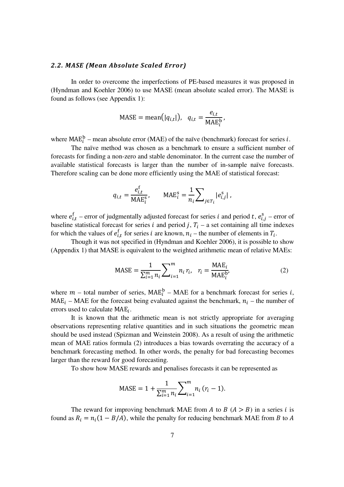#### 2.2. MASE (Mean Absolute Scaled Error)

In order to overcome the imperfections of PE-based measures it was proposed in (Hyndman and Koehler 2006) to use MASE (mean absolute scaled error). The MASE is found as follows (see Appendix 1):

$$
MASE = mean(|q_{i,t}|), q_{i,t} = \frac{e_{i,t}}{MAE_i^b},
$$

where  $MAE_i^b$  – mean absolute error (MAE) of the naïve (benchmark) forecast for series *i*.

The naïve method was chosen as a benchmark to ensure a sufficient number of forecasts for finding a non-zero and stable denominator. In the current case the number of available statistical forecasts is larger than the number of in-sample naïve forecasts. Therefore scaling can be done more efficiently using the MAE of statistical forecast:

$$
q_{i,t} = \frac{e_{i,t}^{\dagger}}{\text{MAE}_i^{\text{s}}}, \qquad \text{MAE}_i^{\text{s}} = \frac{1}{n_i} \sum_{j \in T_i} |e_{i,j}^{\text{s}}|,
$$

where  $e_{i,t}^{\text{f}}$  – error of judgmentally adjusted forecast for series *i* and period *t*,  $e_{i,j}^{\text{s}}$  – error of baseline statistical forecast for series i and period j,  $T_i$  – a set containing all time indexes for which the values of  $e_{i,t}^f$  for series i are known,  $n_i$  – the number of elements in  $T_i$ .

Though it was not specified in (Hyndman and Koehler 2006), it is possible to show (Appendix 1) that MASE is equivalent to the weighted arithmetic mean of relative MAEs:

$$
MASE = \frac{1}{\sum_{i=1}^{m} n_i} \sum_{i=1}^{m} n_i r_i, \quad r_i = \frac{MAE_i}{MAE_i^{b'}}
$$
(2)

where  $m$  – total number of series,  $MAE_i^b$  – MAE for a benchmark forecast for series *i*,  $MAE_i - MAE$  for the forecast being evaluated against the benchmark,  $n_i$  – the number of errors used to calculate  $MAE_i$ .

It is known that the arithmetic mean is not strictly appropriate for averaging observations representing relative quantities and in such situations the geometric mean should be used instead (Spizman and Weinstein 2008). As a result of using the arithmetic mean of MAE ratios formula (2) introduces a bias towards overrating the accuracy of a benchmark forecasting method. In other words, the penalty for bad forecasting becomes larger than the reward for good forecasting.

To show how MASE rewards and penalises forecasts it can be represented as

$$
MASE = 1 + \frac{1}{\sum_{i=1}^{m} n_i} \sum_{i=1}^{m} n_i (r_i - 1).
$$

The reward for improving benchmark MAE from A to B  $(A > B)$  in a series i is found as  $R_i = n_i(1 - B/A)$ , while the penalty for reducing benchmark MAE from B to A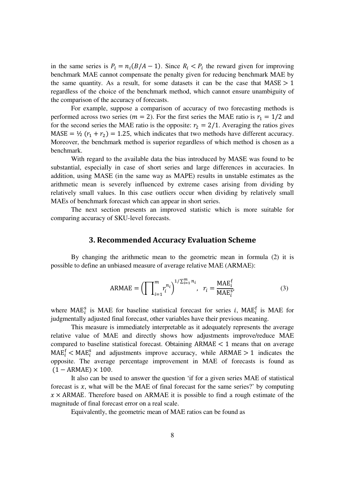in the same series is  $P_i = n_i(B/A - 1)$ . Since  $R_i < P_i$  the reward given for improving benchmark MAE cannot compensate the penalty given for reducing benchmark MAE by the same quantity. As a result, for some datasets it can be the case that  $MASE > 1$ regardless of the choice of the benchmark method, which cannot ensure unambiguity of the comparison of the accuracy of forecasts.

For example, suppose a comparison of accuracy of two forecasting methods is performed across two series ( $m = 2$ ). For the first series the MAE ratio is  $r_1 = 1/2$  and for the second series the MAE ratio is the opposite:  $r_2 = 2/1$ . Averaging the ratios gives  $MASE = \frac{1}{2}(r_1 + r_2) = 1.25$ , which indicates that two methods have different accuracy. Moreover, the benchmark method is superior regardless of which method is chosen as a benchmark.

With regard to the available data the bias introduced by MASE was found to be substantial, especially in case of short series and large differences in accuracies. In addition, using MASE (in the same way as MAPE) results in unstable estimates as the arithmetic mean is severely influenced by extreme cases arising from dividing by relatively small values. In this case outliers occur when dividing by relatively small MAEs of benchmark forecast which can appear in short series.

The next section presents an improved statistic which is more suitable for comparing accuracy of SKU-level forecasts.

#### 3. Recommended Accuracy Evaluation Scheme

By changing the arithmetic mean to the geometric mean in formula (2) it is possible to define an unbiased measure of average relative MAE (ARMAE):

ARMAE = 
$$
\left(\prod_{i=1}^{m} r_i^{n_i}\right)^{1/\sum_{i=1}^{m} n_i}, r_i = \frac{\text{MAE}_i^f}{\text{MAE}_i^s}
$$
, (3)

where MAE<sup>s</sup> is MAE for baseline statistical forecast for series *i*, MAE<sup>f</sup> is MAE for judgmentally adjusted final forecast, other variables have their previous meaning.

This measure is immediately interpretable as it adequately represents the average relative value of MAE and directly shows how adjustments improve/reduce MAE compared to baseline statistical forecast. Obtaining  $ARMAE < 1$  means that on average  $MAE_i^f$  <  $MAE_i^s$  and adjustments improve accuracy, while  $ARMAE > 1$  indicates the opposite. The average percentage improvement in MAE of forecasts is found as  $(1 - ARMAE) \times 100$ .

It also can be used to answer the question 'if for a given series MAE of statistical forecast is  $x$ , what will be the MAE of final forecast for the same series?' by computing  $x \times$  ARMAE. Therefore based on ARMAE it is possible to find a rough estimate of the magnitude of final forecast error on a real scale.

Equivalently, the geometric mean of MAE ratios can be found as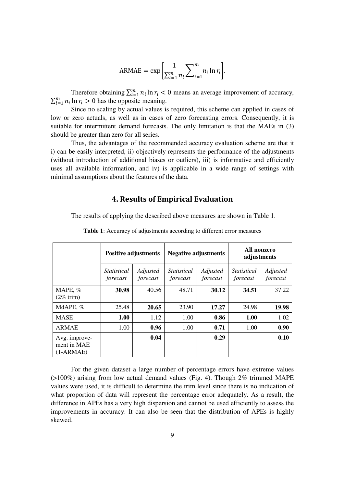$$
ARMAE = \exp\left[\frac{1}{\sum_{i=1}^{m} n_i} \sum_{i=1}^{m} n_i \ln r_i\right].
$$

Therefore obtaining  $\sum_{i=1}^{m} n_i \ln r_i < 0$  means an average improvement of accuracy,  $\sum_{i=1}^{m} n_i \ln r_i > 0$  has the opposite meaning.

Since no scaling by actual values is required, this scheme can applied in cases of low or zero actuals, as well as in cases of zero forecasting errors. Consequently, it is suitable for intermittent demand forecasts. The only limitation is that the MAEs in (3) should be greater than zero for all series.

Thus, the advantages of the recommended accuracy evaluation scheme are that it i) can be easily interpreted, ii) objectively represents the performance of the adjustments (without introduction of additional biases or outliers), iii) is informative and efficiently uses all available information, and iv) is applicable in a wide range of settings with minimal assumptions about the features of the data.

#### 4. Results of Empirical Evaluation

The results of applying the described above measures are shown in Table 1.

|                                             | <b>Positive adjustments</b>    |                      | <b>Negative adjustments</b>    |                      | All nonzero<br>adjustments     |                      |
|---------------------------------------------|--------------------------------|----------------------|--------------------------------|----------------------|--------------------------------|----------------------|
|                                             | <b>Statistical</b><br>forecast | Adjusted<br>forecast | <i>Statistical</i><br>forecast | Adjusted<br>forecast | <i>Statistical</i><br>forecast | Adjusted<br>forecast |
| MAPE, %<br>$(2\% \text{ trim})$             | 30.98                          | 40.56                | 48.71                          | 30.12                | 34.51                          | 37.22                |
| MdAPE, %                                    | 25.48                          | 20.65                | 23.90                          | 17.27                | 24.98                          | 19.98                |
| <b>MASE</b>                                 | 1.00                           | 1.12                 | 1.00                           | 0.86                 | 1.00                           | 1.02                 |
| <b>ARMAE</b>                                | 1.00                           | 0.96                 | 1.00                           | 0.71                 | 1.00                           | 0.90                 |
| Avg. improve-<br>ment in MAE<br>$(1-ARMAE)$ |                                | 0.04                 |                                | 0.29                 |                                | 0.10                 |

**Table 1**: Accuracy of adjustments according to different error measures

For the given dataset a large number of percentage errors have extreme values (>100%) arising from low actual demand values (Fig. 4). Though 2% trimmed MAPE values were used, it is difficult to determine the trim level since there is no indication of what proportion of data will represent the percentage error adequately. As a result, the difference in APEs has a very high dispersion and cannot be used efficiently to assess the improvements in accuracy. It can also be seen that the distribution of APEs is highly skewed.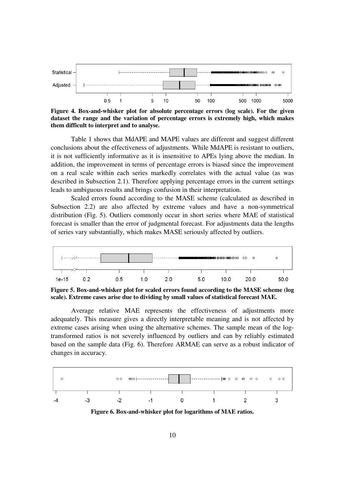

**Figure 4. Box-and-whisker plot for absolute percentage errors (log scale). For the given dataset the range and the variation of percentage errors is extremely high, which makes them difficult to interpret and to analyse.** 

Table 1 shows that MdAPE and MAPE values are different and suggest different conclusions about the effectiveness of adjustments. While MdAPE is resistant to outliers, it is not sufficiently informative as it is insensitive to APEs lying above the median. In addition, the improvement in terms of percentage errors is biased since the improvement on a real scale within each series markedly correlates with the actual value (as was described in Subsection 2.1). Therefore applying percentage errors in the current settings leads to ambiguous results and brings confusion in their interpretation.

Scaled errors found according to the MASE scheme (calculated as described in Subsection 2.2) are also affected by extreme values and have a non-symmetrical distribution (Fig. 5). Outliers commonly occur in short series where MAE of statistical forecast is smaller than the error of judgmental forecast. For adjustments data the lengths of series vary substantially, which makes MASE seriously affected by outliers.



**Figure 5. Box-and-whisker plot for scaled errors found according to the MASE scheme (log scale). Extreme cases arise due to dividing by small values of statistical forecast MAE.**

Average relative MAE represents the effectiveness of adjustments more adequately. This measure gives a directly interpretable meaning and is not affected by extreme cases arising when using the alternative schemes. The sample mean of the logtransformed ratios is not severely influenced by outliers and can by reliably estimated based on the sample data (Fig. 6). Therefore ARMAE can serve as a robust indicator of changes in accuracy.



**Figure 6. Box-and-whisker plot for logarithms of MAE ratios.**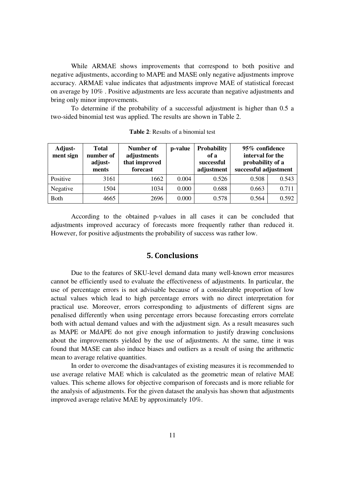While ARMAE shows improvements that correspond to both positive and negative adjustments, according to MAPE and MASE only negative adjustments improve accuracy. ARMAE value indicates that adjustments improve MAE of statistical forecast on average by 10% . Positive adjustments are less accurate than negative adjustments and bring only minor improvements.

To determine if the probability of a successful adjustment is higher than 0.5 a two-sided binomial test was applied. The results are shown in Table 2.

| Adjust-<br>ment sign | <b>Total</b><br>number of<br>adjust-<br>ments | Number of<br>adjustments<br>that improved<br>forecast | p-value | <b>Probability</b><br>of a<br>successful<br>adjustment | 95% confidence<br>interval for the<br>probability of a<br>successful adjustment |       |
|----------------------|-----------------------------------------------|-------------------------------------------------------|---------|--------------------------------------------------------|---------------------------------------------------------------------------------|-------|
| Positive             | 3161                                          | 1662                                                  | 0.004   | 0.526                                                  | 0.508                                                                           | 0.543 |
| Negative             | 1504                                          | 1034                                                  | 0.000   | 0.688                                                  | 0.663                                                                           | 0.711 |
| <b>Both</b>          | 4665                                          | 2696                                                  | 0.000   | 0.578                                                  | 0.564                                                                           | 0.592 |

**Table 2**: Results of a binomial test

According to the obtained p-values in all cases it can be concluded that adjustments improved accuracy of forecasts more frequently rather than reduced it. However, for positive adjustments the probability of success was rather low.

#### 5. Conclusions

Due to the features of SKU-level demand data many well-known error measures cannot be efficiently used to evaluate the effectiveness of adjustments. In particular, the use of percentage errors is not advisable because of a considerable proportion of low actual values which lead to high percentage errors with no direct interpretation for practical use. Moreover, errors corresponding to adjustments of different signs are penalised differently when using percentage errors because forecasting errors correlate both with actual demand values and with the adjustment sign. As a result measures such as MAPE or MdAPE do not give enough information to justify drawing conclusions about the improvements yielded by the use of adjustments. At the same, time it was found that MASE can also induce biases and outliers as a result of using the arithmetic mean to average relative quantities.

In order to overcome the disadvantages of existing measures it is recommended to use average relative MAE which is calculated as the geometric mean of relative MAE values. This scheme allows for objective comparison of forecasts and is more reliable for the analysis of adjustments. For the given dataset the analysis has shown that adjustments improved average relative MAE by approximately 10%.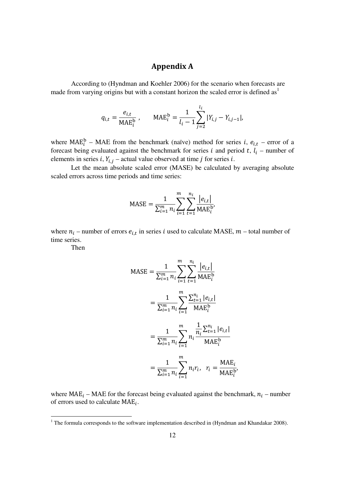# Appendix A

According to (Hyndman and Koehler 2006) for the scenario when forecasts are made from varying origins but with a constant horizon the scaled error is defined as<sup>1</sup>

$$
q_{i,t} = \frac{e_{i,t}}{\text{MAE}_i^{\text{b}}}, \quad \text{MAE}_i^{\text{b}} = \frac{1}{l_i - 1} \sum_{j=2}^{l_i} |Y_{i,j} - Y_{i,j-1}|,
$$

where  $MAE_i^b$  – MAE from the benchmark (naïve) method for series *i*,  $e_{i,t}$  – error of a forecast being evaluated against the benchmark for series i and period t,  $l_i$  – number of elements in series *i*,  $Y_{i,j}$  – actual value observed at time *j* for series *i*.

Let the mean absolute scaled error (MASE) be calculated by averaging absolute scaled errors across time periods and time series:

$$
\text{MASE} = \frac{1}{\sum_{i=1}^{m} n_i} \sum_{i=1}^{m} \sum_{t=1}^{n_i} \frac{|e_{i,t}|}{\text{MAE}_i^{b'}}
$$

where  $n_i$  – number of errors  $e_{i,t}$  in series i used to calculate MASE,  $m$  – total number of time series.

Then

$$
MASE = \frac{1}{\sum_{i=1}^{m} n_i} \sum_{i=1}^{m} \sum_{t=1}^{n_i} \frac{|e_{i,t}|}{MAE_i^b}
$$
  
= 
$$
\frac{1}{\sum_{i=1}^{m} n_i} \sum_{i=1}^{m} \frac{\sum_{t=1}^{n_i} |e_{i,t}|}{MAE_i^b}
$$
  
= 
$$
\frac{1}{\sum_{i=1}^{m} n_i} \sum_{i=1}^{m} n_i \frac{\frac{1}{n_i} \sum_{t=1}^{n_i} |e_{i,t}|}{MAE_i^b}
$$
  
= 
$$
\frac{1}{\sum_{i=1}^{m} n_i} \sum_{i=1}^{m} n_i r_i, \quad r_i = \frac{MAE_i}{MAE_i^b}
$$

where  $MAE_i - MAE$  for the forecast being evaluated against the benchmark,  $n_i$  – number of errors used to calculate  $MAE_i$ .

The formula corresponds to the software implementation described in (Hyndman and Khandakar 2008).